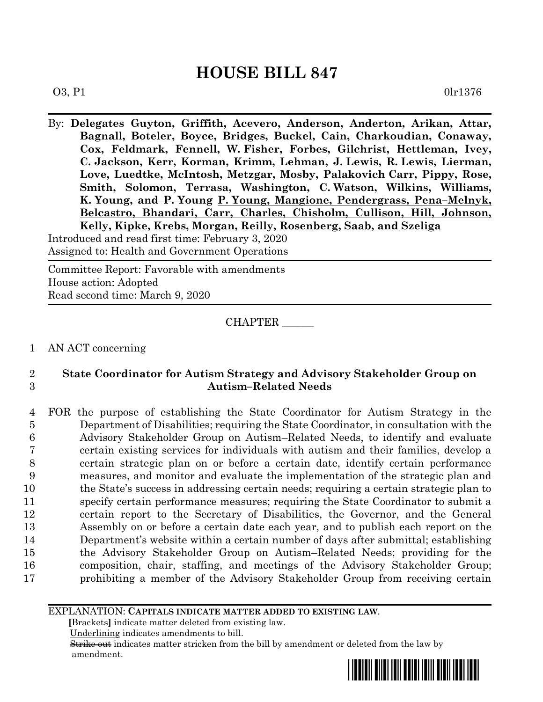## **HOUSE BILL 847**

 $03, P1$  0lr1376

By: **Delegates Guyton, Griffith, Acevero, Anderson, Anderton, Arikan, Attar, Bagnall, Boteler, Boyce, Bridges, Buckel, Cain, Charkoudian, Conaway, Cox, Feldmark, Fennell, W. Fisher, Forbes, Gilchrist, Hettleman, Ivey, C. Jackson, Kerr, Korman, Krimm, Lehman, J. Lewis, R. Lewis, Lierman, Love, Luedtke, McIntosh, Metzgar, Mosby, Palakovich Carr, Pippy, Rose, Smith, Solomon, Terrasa, Washington, C. Watson, Wilkins, Williams, K. Young, and P. Young P. Young, Mangione, Pendergrass, Pena–Melnyk, Belcastro, Bhandari, Carr, Charles, Chisholm, Cullison, Hill, Johnson, Kelly, Kipke, Krebs, Morgan, Reilly, Rosenberg, Saab, and Szeliga**

Introduced and read first time: February 3, 2020 Assigned to: Health and Government Operations

Committee Report: Favorable with amendments House action: Adopted Read second time: March 9, 2020

CHAPTER \_\_\_\_\_\_

1 AN ACT concerning

## 2 **State Coordinator for Autism Strategy and Advisory Stakeholder Group on**  3 **Autism–Related Needs**

 FOR the purpose of establishing the State Coordinator for Autism Strategy in the Department of Disabilities; requiring the State Coordinator, in consultation with the Advisory Stakeholder Group on Autism–Related Needs, to identify and evaluate certain existing services for individuals with autism and their families, develop a certain strategic plan on or before a certain date, identify certain performance measures, and monitor and evaluate the implementation of the strategic plan and the State's success in addressing certain needs; requiring a certain strategic plan to specify certain performance measures; requiring the State Coordinator to submit a certain report to the Secretary of Disabilities, the Governor, and the General Assembly on or before a certain date each year, and to publish each report on the Department's website within a certain number of days after submittal; establishing the Advisory Stakeholder Group on Autism–Related Needs; providing for the composition, chair, staffing, and meetings of the Advisory Stakeholder Group; prohibiting a member of the Advisory Stakeholder Group from receiving certain

EXPLANATION: **CAPITALS INDICATE MATTER ADDED TO EXISTING LAW**.

 **[**Brackets**]** indicate matter deleted from existing law.

Underlining indicates amendments to bill.

 Strike out indicates matter stricken from the bill by amendment or deleted from the law by amendment.

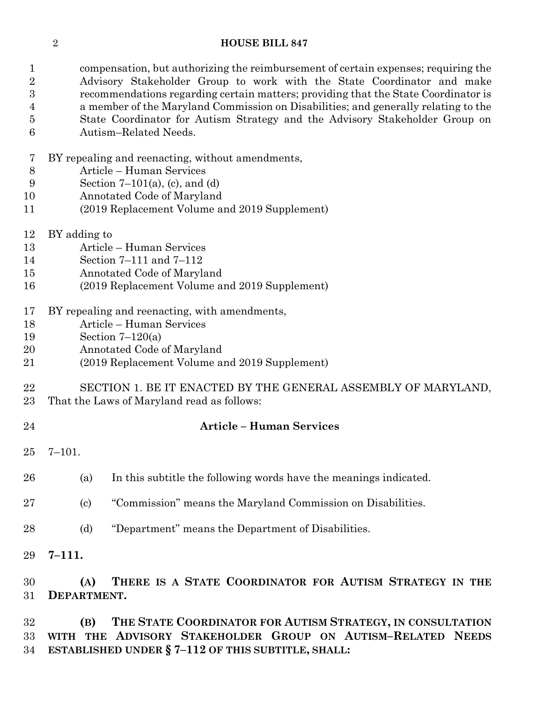## **HOUSE BILL 847**

 compensation, but authorizing the reimbursement of certain expenses; requiring the Advisory Stakeholder Group to work with the State Coordinator and make recommendations regarding certain matters; providing that the State Coordinator is a member of the Maryland Commission on Disabilities; and generally relating to the State Coordinator for Autism Strategy and the Advisory Stakeholder Group on Autism–Related Needs.

- BY repealing and reenacting, without amendments,
- Article Human Services
- Section 7–101(a), (c), and (d)
- Annotated Code of Maryland
- (2019 Replacement Volume and 2019 Supplement)
- BY adding to
- Article Human Services
- Section 7–111 and 7–112
- Annotated Code of Maryland
- (2019 Replacement Volume and 2019 Supplement)
- BY repealing and reenacting, with amendments,
- Article Human Services
- Section 7–120(a)
- Annotated Code of Maryland
- (2019 Replacement Volume and 2019 Supplement)
- SECTION 1. BE IT ENACTED BY THE GENERAL ASSEMBLY OF MARYLAND,
- That the Laws of Maryland read as follows:
- 
- **Article – Human Services**
- 7–101.
- (a) In this subtitle the following words have the meanings indicated.
- (c) "Commission" means the Maryland Commission on Disabilities.
- (d) "Department" means the Department of Disabilities.
- **7–111.**

 **(A) THERE IS A STATE COORDINATOR FOR AUTISM STRATEGY IN THE DEPARTMENT.**

 **(B) THE STATE COORDINATOR FOR AUTISM STRATEGY, IN CONSULTATION WITH THE ADVISORY STAKEHOLDER GROUP ON AUTISM–RELATED NEEDS ESTABLISHED UNDER § 7–112 OF THIS SUBTITLE, SHALL:**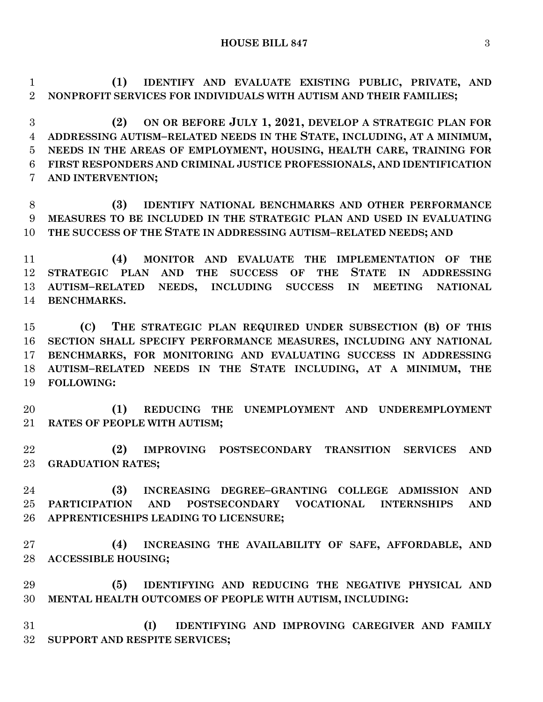**HOUSE BILL 847** 3

 **(1) IDENTIFY AND EVALUATE EXISTING PUBLIC, PRIVATE, AND NONPROFIT SERVICES FOR INDIVIDUALS WITH AUTISM AND THEIR FAMILIES;**

 **(2) ON OR BEFORE JULY 1, 2021, DEVELOP A STRATEGIC PLAN FOR ADDRESSING AUTISM–RELATED NEEDS IN THE STATE, INCLUDING, AT A MINIMUM, NEEDS IN THE AREAS OF EMPLOYMENT, HOUSING, HEALTH CARE, TRAINING FOR FIRST RESPONDERS AND CRIMINAL JUSTICE PROFESSIONALS, AND IDENTIFICATION AND INTERVENTION;**

 **(3) IDENTIFY NATIONAL BENCHMARKS AND OTHER PERFORMANCE MEASURES TO BE INCLUDED IN THE STRATEGIC PLAN AND USED IN EVALUATING THE SUCCESS OF THE STATE IN ADDRESSING AUTISM–RELATED NEEDS; AND**

 **(4) MONITOR AND EVALUATE THE IMPLEMENTATION OF THE STRATEGIC PLAN AND THE SUCCESS OF THE STATE IN ADDRESSING AUTISM–RELATED NEEDS, INCLUDING SUCCESS IN MEETING NATIONAL BENCHMARKS.**

 **(C) THE STRATEGIC PLAN REQUIRED UNDER SUBSECTION (B) OF THIS SECTION SHALL SPECIFY PERFORMANCE MEASURES, INCLUDING ANY NATIONAL BENCHMARKS, FOR MONITORING AND EVALUATING SUCCESS IN ADDRESSING AUTISM–RELATED NEEDS IN THE STATE INCLUDING, AT A MINIMUM, THE FOLLOWING:**

 **(1) REDUCING THE UNEMPLOYMENT AND UNDEREMPLOYMENT RATES OF PEOPLE WITH AUTISM;**

 **(2) IMPROVING POSTSECONDARY TRANSITION SERVICES AND GRADUATION RATES;**

 **(3) INCREASING DEGREE–GRANTING COLLEGE ADMISSION AND PARTICIPATION AND POSTSECONDARY VOCATIONAL INTERNSHIPS AND APPRENTICESHIPS LEADING TO LICENSURE;**

 **(4) INCREASING THE AVAILABILITY OF SAFE, AFFORDABLE, AND ACCESSIBLE HOUSING;**

 **(5) IDENTIFYING AND REDUCING THE NEGATIVE PHYSICAL AND MENTAL HEALTH OUTCOMES OF PEOPLE WITH AUTISM, INCLUDING:**

 **(I) IDENTIFYING AND IMPROVING CAREGIVER AND FAMILY SUPPORT AND RESPITE SERVICES;**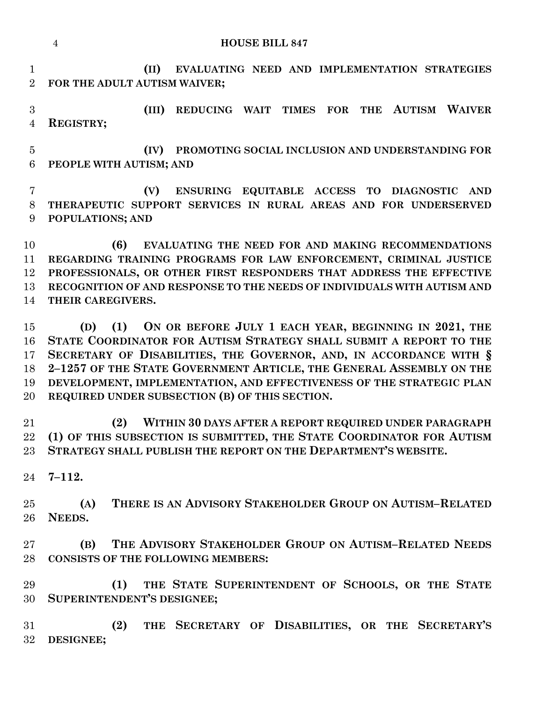|                                  | <b>HOUSE BILL 847</b><br>$\overline{4}$                                                                                                                                                                                                                                                                                                                                                                          |
|----------------------------------|------------------------------------------------------------------------------------------------------------------------------------------------------------------------------------------------------------------------------------------------------------------------------------------------------------------------------------------------------------------------------------------------------------------|
| $\mathbf{1}$<br>$\overline{2}$   | (II)<br>EVALUATING NEED AND IMPLEMENTATION STRATEGIES<br>FOR THE ADULT AUTISM WAIVER;                                                                                                                                                                                                                                                                                                                            |
| 3<br>$\overline{4}$              | THE AUTISM WAIVER<br>REDUCING WAIT TIMES FOR<br>(III)<br><b>REGISTRY;</b>                                                                                                                                                                                                                                                                                                                                        |
| $\overline{5}$<br>6              | PROMOTING SOCIAL INCLUSION AND UNDERSTANDING FOR<br>(IV)<br>PEOPLE WITH AUTISM; AND                                                                                                                                                                                                                                                                                                                              |
| 7<br>8<br>9                      | ENSURING EQUITABLE ACCESS TO DIAGNOSTIC AND<br>(V)<br>THERAPEUTIC SUPPORT SERVICES IN RURAL AREAS AND FOR UNDERSERVED<br>POPULATIONS; AND                                                                                                                                                                                                                                                                        |
| 10<br>11<br>12<br>13<br>14       | (6)<br>EVALUATING THE NEED FOR AND MAKING RECOMMENDATIONS<br>REGARDING TRAINING PROGRAMS FOR LAW ENFORCEMENT, CRIMINAL JUSTICE<br>PROFESSIONALS, OR OTHER FIRST RESPONDERS THAT ADDRESS THE EFFECTIVE<br>RECOGNITION OF AND RESPONSE TO THE NEEDS OF INDIVIDUALS WITH AUTISM AND<br>THEIR CAREGIVERS.                                                                                                            |
| 15<br>16<br>17<br>18<br>19<br>20 | ON OR BEFORE JULY 1 EACH YEAR, BEGINNING IN 2021, THE<br>(1)<br>(D)<br>STATE COORDINATOR FOR AUTISM STRATEGY SHALL SUBMIT A REPORT TO THE<br>SECRETARY OF DISABILITIES, THE GOVERNOR, AND, IN ACCORDANCE WITH §<br>2-1257 OF THE STATE GOVERNMENT ARTICLE, THE GENERAL ASSEMBLY ON THE<br>DEVELOPMENT, IMPLEMENTATION, AND EFFECTIVENESS OF THE STRATEGIC PLAN<br>REQUIRED UNDER SUBSECTION (B) OF THIS SECTION. |
| 21<br>22<br>23                   | WITHIN 30 DAYS AFTER A REPORT REQUIRED UNDER PARAGRAPH<br>(2)<br>(1) OF THIS SUBSECTION IS SUBMITTED, THE STATE COORDINATOR FOR AUTISM<br>STRATEGY SHALL PUBLISH THE REPORT ON THE DEPARTMENT'S WEBSITE.                                                                                                                                                                                                         |
| 24                               | $7 - 112.$                                                                                                                                                                                                                                                                                                                                                                                                       |
| 25<br>26                         | THERE IS AN ADVISORY STAKEHOLDER GROUP ON AUTISM-RELATED<br>(A)<br>NEEDS.                                                                                                                                                                                                                                                                                                                                        |
| 27<br>28                         | THE ADVISORY STAKEHOLDER GROUP ON AUTISM-RELATED NEEDS<br>(B)<br><b>CONSISTS OF THE FOLLOWING MEMBERS:</b>                                                                                                                                                                                                                                                                                                       |
| 29<br>30                         | THE STATE SUPERINTENDENT OF SCHOOLS, OR THE STATE<br>(1)<br>SUPERINTENDENT'S DESIGNEE;                                                                                                                                                                                                                                                                                                                           |

 **(2) THE SECRETARY OF DISABILITIES, OR THE SECRETARY'S DESIGNEE;**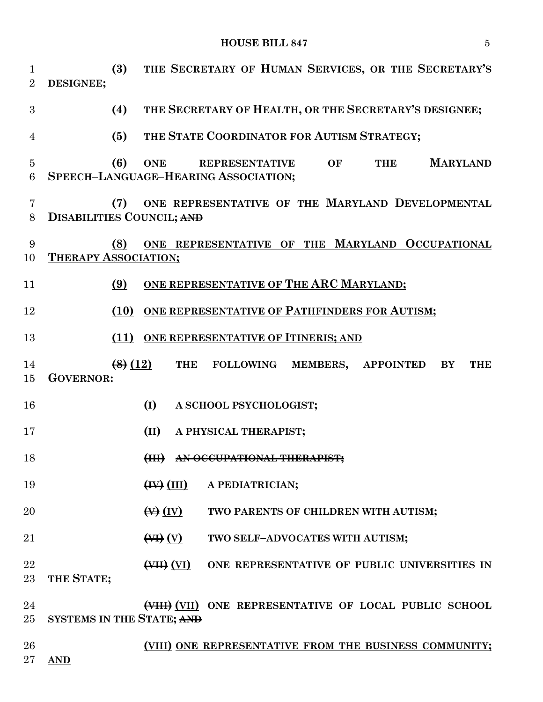**HOUSE BILL 847** 5

| $\mathbf{1}$<br>$\overline{2}$ | (3)<br>DESIGNEE;                        | THE SECRETARY OF HUMAN SERVICES, OR THE SECRETARY'S                                                  |
|--------------------------------|-----------------------------------------|------------------------------------------------------------------------------------------------------|
| 3                              | (4)                                     | THE SECRETARY OF HEALTH, OR THE SECRETARY'S DESIGNEE;                                                |
| 4                              | (5)                                     | THE STATE COORDINATOR FOR AUTISM STRATEGY;                                                           |
| $\overline{5}$<br>6            | (6)<br><b>ONE</b>                       | <b>MARYLAND</b><br>OF<br><b>THE</b><br><b>REPRESENTATIVE</b><br>SPEECH-LANGUAGE-HEARING ASSOCIATION; |
| 7<br>8                         | (7)<br><b>DISABILITIES COUNCIL; AND</b> | ONE REPRESENTATIVE OF THE MARYLAND DEVELOPMENTAL                                                     |
| 9<br>10                        | (8)<br><b>THERAPY ASSOCIATION;</b>      | ONE REPRESENTATIVE OF THE MARYLAND OCCUPATIONAL                                                      |
| 11                             | (9)                                     | ONE REPRESENTATIVE OF THE ARC MARYLAND;                                                              |
| 12                             |                                         | (10) ONE REPRESENTATIVE OF PATHFINDERS FOR AUTISM;                                                   |
| 13                             |                                         | (11) ONE REPRESENTATIVE OF ITINERIS; AND                                                             |
| 14<br>15                       | (8)(12)<br><b>GOVERNOR:</b>             | <b>THE</b><br><b>FOLLOWING</b><br>MEMBERS,<br><b>APPOINTED</b><br><b>THE</b><br>BY                   |
| 16                             | (I)                                     | A SCHOOL PSYCHOLOGIST;                                                                               |
| 17                             | (II)                                    | A PHYSICAL THERAPIST;                                                                                |
| 18                             | H                                       | AN OCCUPATIONAL THERAPIST:                                                                           |
| 19                             |                                         | $(HV)$ (III) A PEDIATRICIAN;                                                                         |
| 20                             |                                         | $\leftrightarrow$ (IV)<br>TWO PARENTS OF CHILDREN WITH AUTISM;                                       |
| 21                             |                                         | TWO SELF-ADVOCATES WITH AUTISM;                                                                      |
| 22<br>23                       | THE STATE;                              | (VII) ONE REPRESENTATIVE OF PUBLIC UNIVERSITIES IN                                                   |
| 24<br>$25\,$                   | SYSTEMS IN THE STATE; AND               | (VIII) ONE REPRESENTATIVE OF LOCAL PUBLIC SCHOOL                                                     |
| 26                             |                                         | (VIII) ONE REPRESENTATIVE FROM THE BUSINESS COMMUNITY;                                               |

**AND**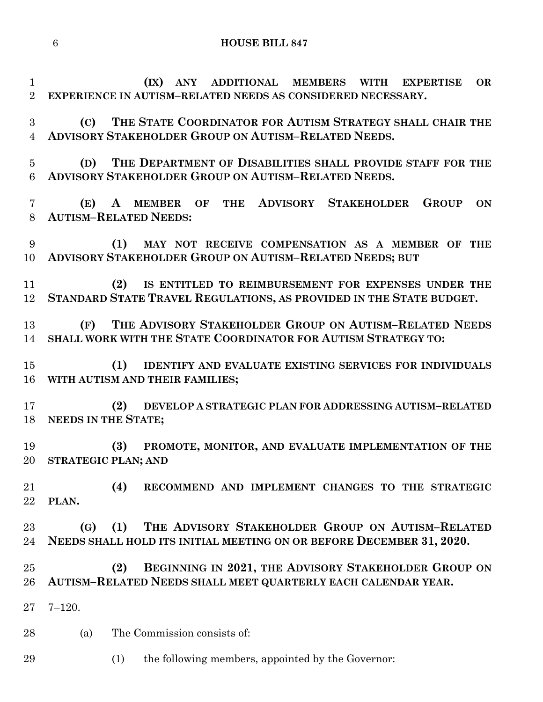**HOUSE BILL 847**

 **(IX) ANY ADDITIONAL MEMBERS WITH EXPERTISE OR EXPERIENCE IN AUTISM–RELATED NEEDS AS CONSIDERED NECESSARY. (C) THE STATE COORDINATOR FOR AUTISM STRATEGY SHALL CHAIR THE ADVISORY STAKEHOLDER GROUP ON AUTISM–RELATED NEEDS. (D) THE DEPARTMENT OF DISABILITIES SHALL PROVIDE STAFF FOR THE ADVISORY STAKEHOLDER GROUP ON AUTISM–RELATED NEEDS. (E) A MEMBER OF THE ADVISORY STAKEHOLDER GROUP ON AUTISM–RELATED NEEDS: (1) MAY NOT RECEIVE COMPENSATION AS A MEMBER OF THE ADVISORY STAKEHOLDER GROUP ON AUTISM–RELATED NEEDS; BUT (2) IS ENTITLED TO REIMBURSEMENT FOR EXPENSES UNDER THE STANDARD STATE TRAVEL REGULATIONS, AS PROVIDED IN THE STATE BUDGET. (F) THE ADVISORY STAKEHOLDER GROUP ON AUTISM–RELATED NEEDS SHALL WORK WITH THE STATE COORDINATOR FOR AUTISM STRATEGY TO: (1) IDENTIFY AND EVALUATE EXISTING SERVICES FOR INDIVIDUALS WITH AUTISM AND THEIR FAMILIES; (2) DEVELOP A STRATEGIC PLAN FOR ADDRESSING AUTISM–RELATED NEEDS IN THE STATE; (3) PROMOTE, MONITOR, AND EVALUATE IMPLEMENTATION OF THE STRATEGIC PLAN; AND (4) RECOMMEND AND IMPLEMENT CHANGES TO THE STRATEGIC PLAN. (G) (1) THE ADVISORY STAKEHOLDER GROUP ON AUTISM–RELATED NEEDS SHALL HOLD ITS INITIAL MEETING ON OR BEFORE DECEMBER 31, 2020. (2) BEGINNING IN 2021, THE ADVISORY STAKEHOLDER GROUP ON AUTISM–RELATED NEEDS SHALL MEET QUARTERLY EACH CALENDAR YEAR.** 7–120. (a) The Commission consists of: (1) the following members, appointed by the Governor: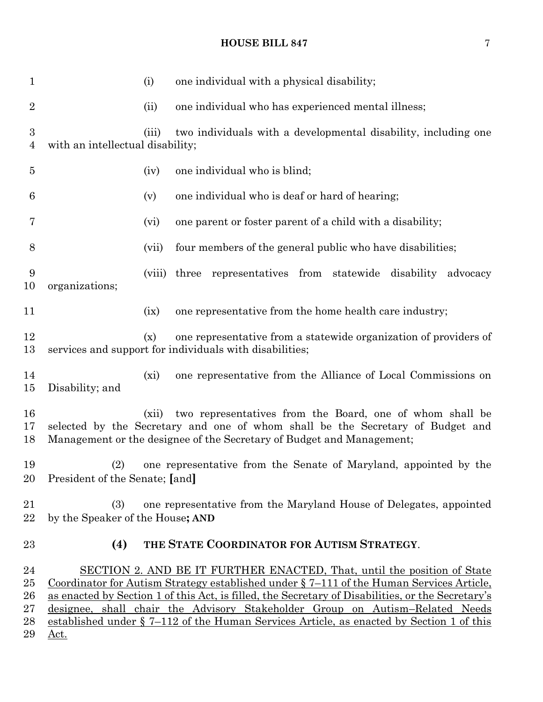**HOUSE BILL 847** 7

| $\mathbf{1}$                                 |                                                                                                                                                                                                                              | (i)     | one individual with a physical disability;                                                                                                                                                                                                                                                                                                                                                                                                           |  |  |
|----------------------------------------------|------------------------------------------------------------------------------------------------------------------------------------------------------------------------------------------------------------------------------|---------|------------------------------------------------------------------------------------------------------------------------------------------------------------------------------------------------------------------------------------------------------------------------------------------------------------------------------------------------------------------------------------------------------------------------------------------------------|--|--|
| $\overline{2}$                               |                                                                                                                                                                                                                              | (ii)    | one individual who has experienced mental illness;                                                                                                                                                                                                                                                                                                                                                                                                   |  |  |
| $\boldsymbol{3}$<br>4                        | with an intellectual disability;                                                                                                                                                                                             | (iii)   | two individuals with a developmental disability, including one                                                                                                                                                                                                                                                                                                                                                                                       |  |  |
| $\overline{5}$                               |                                                                                                                                                                                                                              | (iv)    | one individual who is blind;                                                                                                                                                                                                                                                                                                                                                                                                                         |  |  |
| 6                                            |                                                                                                                                                                                                                              | (v)     | one individual who is deaf or hard of hearing;                                                                                                                                                                                                                                                                                                                                                                                                       |  |  |
| 7                                            |                                                                                                                                                                                                                              | (vi)    | one parent or foster parent of a child with a disability;                                                                                                                                                                                                                                                                                                                                                                                            |  |  |
| 8                                            |                                                                                                                                                                                                                              | (vii)   | four members of the general public who have disabilities;                                                                                                                                                                                                                                                                                                                                                                                            |  |  |
| 9<br>10                                      | organizations;                                                                                                                                                                                                               | (viii)  | three representatives from statewide disability advocacy                                                                                                                                                                                                                                                                                                                                                                                             |  |  |
| 11                                           |                                                                                                                                                                                                                              | (ix)    | one representative from the home health care industry;                                                                                                                                                                                                                                                                                                                                                                                               |  |  |
| 12<br>13                                     |                                                                                                                                                                                                                              | (x)     | one representative from a statewide organization of providers of<br>services and support for individuals with disabilities;                                                                                                                                                                                                                                                                                                                          |  |  |
| 14<br>$15\,$                                 | Disability; and                                                                                                                                                                                                              | $(x_i)$ | one representative from the Alliance of Local Commissions on                                                                                                                                                                                                                                                                                                                                                                                         |  |  |
| 16<br>17<br>18                               | two representatives from the Board, one of whom shall be<br>(xii)<br>selected by the Secretary and one of whom shall be the Secretary of Budget and<br>Management or the designee of the Secretary of Budget and Management; |         |                                                                                                                                                                                                                                                                                                                                                                                                                                                      |  |  |
| 19<br>20                                     | (2)<br>President of the Senate; [and]                                                                                                                                                                                        |         | one representative from the Senate of Maryland, appointed by the                                                                                                                                                                                                                                                                                                                                                                                     |  |  |
| 21<br>22                                     | (3)<br>by the Speaker of the House; AND                                                                                                                                                                                      |         | one representative from the Maryland House of Delegates, appointed                                                                                                                                                                                                                                                                                                                                                                                   |  |  |
| 23                                           | (4)                                                                                                                                                                                                                          |         | THE STATE COORDINATOR FOR AUTISM STRATEGY.                                                                                                                                                                                                                                                                                                                                                                                                           |  |  |
| 24<br>$25\,$<br>$26\,$<br>$27\,$<br>28<br>29 | <u>Act.</u>                                                                                                                                                                                                                  |         | SECTION 2. AND BE IT FURTHER ENACTED, That, until the position of State<br>Coordinator for Autism Strategy established under § 7-111 of the Human Services Article,<br>as enacted by Section 1 of this Act, is filled, the Secretary of Disabilities, or the Secretary's<br>designee, shall chair the Advisory Stakeholder Group on Autism-Related Needs<br>established under § 7–112 of the Human Services Article, as enacted by Section 1 of this |  |  |